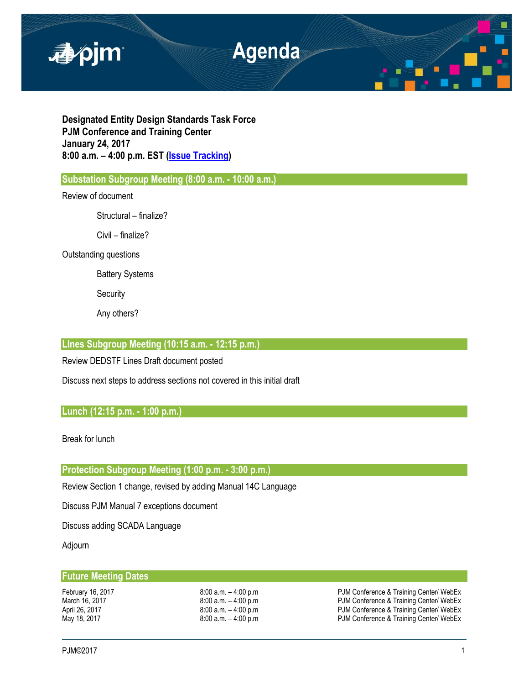

**Designated Entity Design Standards Task Force PJM Conference and Training Center January 24, 2017 8:00 a.m. – 4:00 p.m. EST [\(Issue Tracking\)](http://www.pjm.com/committees-and-groups/issue-tracking/issue-tracking-details.aspx?Issue=%7bE6133A76-DEC6-49DD-89E3-F5ECC642EA67%7d)**

**Substation Subgroup Meeting (8:00 a.m. - 10:00 a.m.)** 

Review of document

Structural – finalize?

Civil – finalize?

Outstanding questions

Battery Systems

**Security** 

Any others?

# **LInes Subgroup Meeting (10:15 a.m. - 12:15 p.m.)**

Review DEDSTF Lines Draft document posted

Discuss next steps to address sections not covered in this initial draft

# **Lunch (12:15 p.m. - 1:00 p.m.)**

Break for lunch

**Protection Subgroup Meeting (1:00 p.m. - 3:00 p.m.)** 

Review Section 1 change, revised by adding Manual 14C Language

Discuss PJM Manual 7 exceptions document

Discuss adding SCADA Language

Adjourn

### **Future Meeting Dates**

February 16, 2017 **1988**:00 a.m. – 4:00 p.m **PJM Conference & Training Center/ WebEx**<br>March 16, 2017 **1998** B:00 a.m. – 4:00 p.m **PJM Conference & Training Center/ WebEx** March 16, 2017 **19:00 a.m.** – 4:00 p.m **PJM Conference & Training Center/ WebEx**<br>April 26, 2017 **19:00 a.m.** – 4:00 p.m **PJM Conference & Training Center/ WebEx** PJM Conference & Training Center/ WebEx May 18, 2017 **1992 12:00 a.m.** – 4:00 p.m **PJM Conference & Training Center/ WebEx**